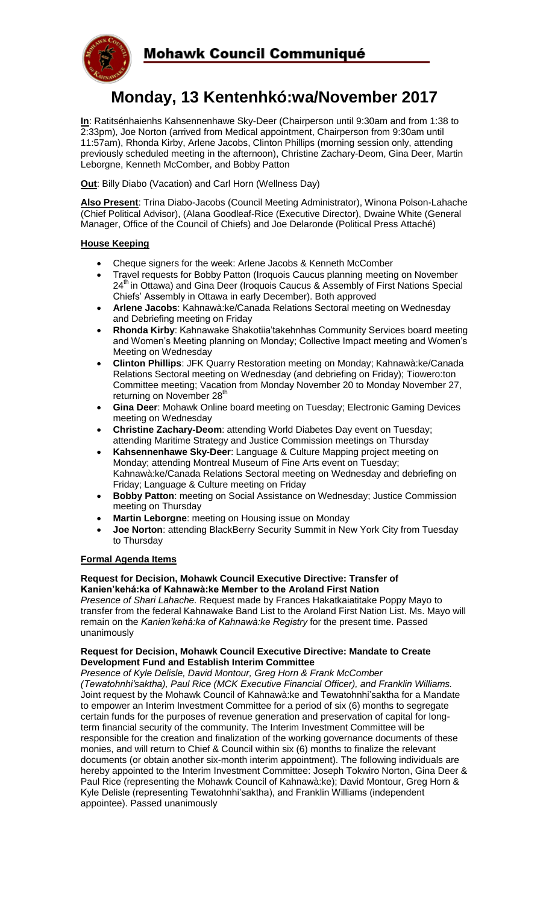

# **Monday, 13 Kentenhkó:wa/November 2017**

**In**: Ratitsénhaienhs Kahsennenhawe Sky-Deer (Chairperson until 9:30am and from 1:38 to 2:33pm), Joe Norton (arrived from Medical appointment, Chairperson from 9:30am until 11:57am), Rhonda Kirby, Arlene Jacobs, Clinton Phillips (morning session only, attending previously scheduled meeting in the afternoon), Christine Zachary-Deom, Gina Deer, Martin Leborgne, Kenneth McComber, and Bobby Patton

**Out**: Billy Diabo (Vacation) and Carl Horn (Wellness Day)

**Also Present**: Trina Diabo-Jacobs (Council Meeting Administrator), Winona Polson-Lahache (Chief Political Advisor), (Alana Goodleaf-Rice (Executive Director), Dwaine White (General Manager, Office of the Council of Chiefs) and Joe Delaronde (Political Press Attaché)

## **House Keeping**

- Cheque signers for the week: Arlene Jacobs & Kenneth McComber
- Travel requests for Bobby Patton (Iroquois Caucus planning meeting on November 24<sup>th</sup> in Ottawa) and Gina Deer (Iroquois Caucus & Assembly of First Nations Special Chiefs' Assembly in Ottawa in early December). Both approved
- **Arlene Jacobs**: Kahnawà:ke/Canada Relations Sectoral meeting on Wednesday and Debriefing meeting on Friday
- **Rhonda Kirby**: Kahnawake Shakotiia'takehnhas Community Services board meeting and Women's Meeting planning on Monday; Collective Impact meeting and Women's Meeting on Wednesday
- **Clinton Phillips**: JFK Quarry Restoration meeting on Monday; Kahnawà:ke/Canada Relations Sectoral meeting on Wednesday (and debriefing on Friday); Tiowero:ton Committee meeting; Vacation from Monday November 20 to Monday November 27, returning on November 28<sup>th</sup>
- **Gina Deer**: Mohawk Online board meeting on Tuesday; Electronic Gaming Devices meeting on Wednesday
- **Christine Zachary-Deom**: attending World Diabetes Day event on Tuesday; attending Maritime Strategy and Justice Commission meetings on Thursday
- **Kahsennenhawe Sky-Deer**: Language & Culture Mapping project meeting on Monday; attending Montreal Museum of Fine Arts event on Tuesday; Kahnawà:ke/Canada Relations Sectoral meeting on Wednesday and debriefing on Friday; Language & Culture meeting on Friday
- **Bobby Patton**: meeting on Social Assistance on Wednesday; Justice Commission meeting on Thursday
- **Martin Leborgne**: meeting on Housing issue on Monday
- **Joe Norton: attending BlackBerry Security Summit in New York City from Tuesday** to Thursday

## **Formal Agenda Items**

#### **Request for Decision, Mohawk Council Executive Directive: Transfer of Kanien'kehá:ka of Kahnawà:ke Member to the Aroland First Nation**

*Presence of Shari Lahache.* Request made by Frances Hakatkaiatitake Poppy Mayo to transfer from the federal Kahnawake Band List to the Aroland First Nation List. Ms. Mayo will remain on the *Kanien'kehá:ka of Kahnawà:ke Registry* for the present time. Passed unanimously

## **Request for Decision, Mohawk Council Executive Directive: Mandate to Create Development Fund and Establish Interim Committee**

*Presence of Kyle Delisle, David Montour, Greg Horn & Frank McComber (Tewatohnhi'saktha), Paul Rice (MCK Executive Financial Officer), and Franklin Williams.*  Joint request by the Mohawk Council of Kahnawà:ke and Tewatohnhi'saktha for a Mandate to empower an Interim Investment Committee for a period of six (6) months to segregate certain funds for the purposes of revenue generation and preservation of capital for longterm financial security of the community. The Interim Investment Committee will be responsible for the creation and finalization of the working governance documents of these monies, and will return to Chief & Council within six (6) months to finalize the relevant documents (or obtain another six-month interim appointment). The following individuals are hereby appointed to the Interim Investment Committee: Joseph Tokwiro Norton, Gina Deer & Paul Rice (representing the Mohawk Council of Kahnawà:ke); David Montour, Greg Horn & Kyle Delisle (representing Tewatohnhi'saktha), and Franklin Williams (independent appointee). Passed unanimously